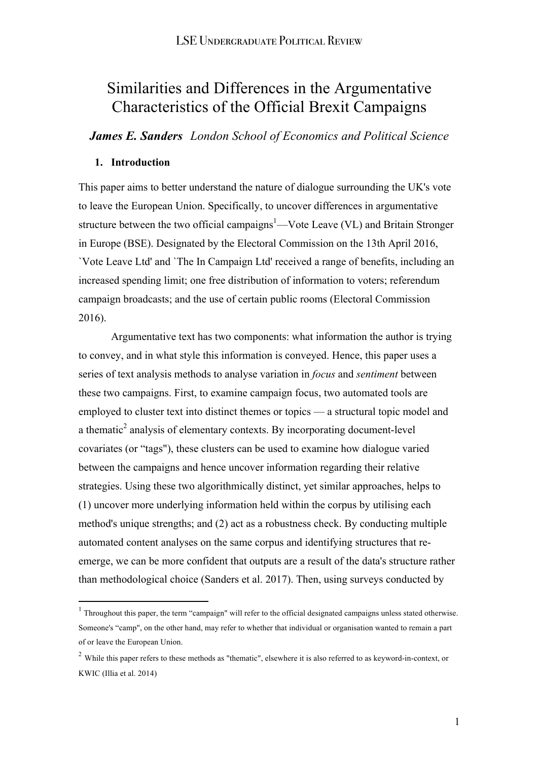# Similarities and Differences in the Argumentative Characteristics of the Official Brexit Campaigns

*James E. Sanders London School of Economics and Political Science*

## **1. Introduction**

 $\overline{a}$ 

This paper aims to better understand the nature of dialogue surrounding the UK's vote to leave the European Union. Specifically, to uncover differences in argumentative structure between the two official campaigns<sup>1</sup>—Vote Leave (VL) and Britain Stronger in Europe (BSE). Designated by the Electoral Commission on the 13th April 2016, `Vote Leave Ltd' and `The In Campaign Ltd' received a range of benefits, including an increased spending limit; one free distribution of information to voters; referendum campaign broadcasts; and the use of certain public rooms (Electoral Commission 2016).

Argumentative text has two components: what information the author is trying to convey, and in what style this information is conveyed. Hence, this paper uses a series of text analysis methods to analyse variation in *focus* and *sentiment* between these two campaigns. First, to examine campaign focus, two automated tools are employed to cluster text into distinct themes or topics — a structural topic model and a thematic<sup>2</sup> analysis of elementary contexts. By incorporating document-level covariates (or "tags"), these clusters can be used to examine how dialogue varied between the campaigns and hence uncover information regarding their relative strategies. Using these two algorithmically distinct, yet similar approaches, helps to (1) uncover more underlying information held within the corpus by utilising each method's unique strengths; and (2) act as a robustness check. By conducting multiple automated content analyses on the same corpus and identifying structures that reemerge, we can be more confident that outputs are a result of the data's structure rather than methodological choice (Sanders et al. 2017). Then, using surveys conducted by

<sup>&</sup>lt;sup>1</sup> Throughout this paper, the term "campaign" will refer to the official designated campaigns unless stated otherwise. Someone's "camp", on the other hand, may refer to whether that individual or organisation wanted to remain a part of or leave the European Union.

<sup>&</sup>lt;sup>2</sup> While this paper refers to these methods as "thematic", elsewhere it is also referred to as keyword-in-context, or KWIC (Illia et al. 2014)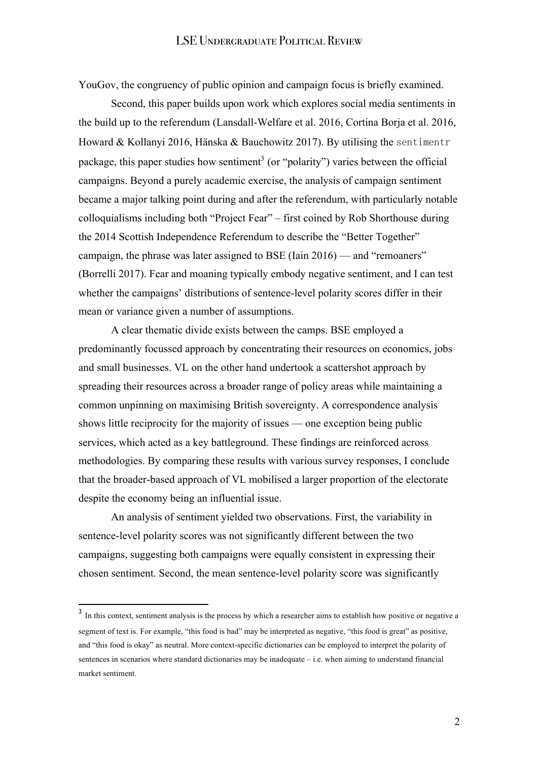YouGov, the congruency of public opinion and campaign focus is briefly examined.

Second, this paper builds upon work which explores social media sentiments in the build up to the referendum (Lansdall-Welfare et al. 2016, Cortina Borja et al. 2016, Howard & Kollanyi 2016, Hänska & Bauchowitz 2017). By utilising the sentimentr package, this paper studies how sentiment<sup>3</sup> (or "polarity") varies between the official campaigns. Beyond a purely academic exercise, the analysis of campaign sentiment became a major talking point during and after the referendum, with particularly notable colloquialisms including both "Project Fear" – first coined by Rob Shorthouse during the 2014 Scottish Independence Referendum to describe the "Better Together" campaign, the phrase was later assigned to BSE (Iain 2016) — and "remoaners" (Borrelli 2017). Fear and moaning typically embody negative sentiment, and I can test whether the campaigns' distributions of sentence-level polarity scores differ in their mean or variance given a number of assumptions.

A clear thematic divide exists between the camps. BSE employed a predominantly focussed approach by concentrating their resources on economics, jobs and small businesses. VL on the other hand undertook a scattershot approach by spreading their resources across a broader range of policy areas while maintaining a common unpinning on maximising British sovereignty. A correspondence analysis shows little reciprocity for the majority of issues — one exception being public services, which acted as a key battleground. These findings are reinforced across methodologies. By comparing these results with various survey responses, I conclude that the broader-based approach of VL mobilised a larger proportion of the electorate despite the economy being an influential issue.

An analysis of sentiment yielded two observations. First, the variability in sentence-level polarity scores was not significantly different between the two campaigns, suggesting both campaigns were equally consistent in expressing their chosen sentiment. Second, the mean sentence-level polarity score was significantly

 $\overline{a}$ 

<sup>&</sup>lt;sup>3</sup> In this context, sentiment analysis is the process by which a researcher aims to establish how positive or negative a segment of text is. For example, "this food is bad" may be interpreted as negative, "this food is great" as positive, and "this food is okay" as neutral. More context-specific dictionaries can be employed to interpret the polarity of sentences in scenarios where standard dictionaries may be inadequate – i.e. when aiming to understand financial market sentiment.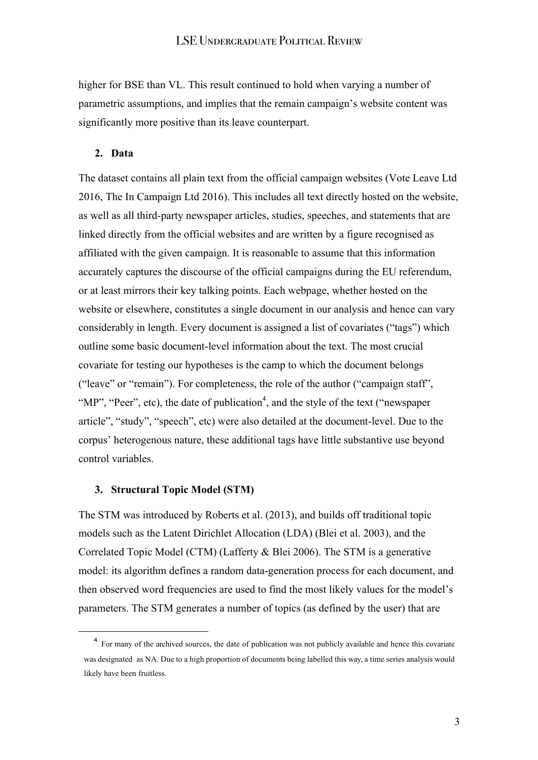higher for BSE than VL. This result continued to hold when varying a number of parametric assumptions, and implies that the remain campaign's website content was significantly more positive than its leave counterpart.

#### **2. Data**

The dataset contains all plain text from the official campaign websites (Vote Leave Ltd 2016, The In Campaign Ltd 2016). This includes all text directly hosted on the website, as well as all third-party newspaper articles, studies, speeches, and statements that are linked directly from the official websites and are written by a figure recognised as affiliated with the given campaign. It is reasonable to assume that this information accurately captures the discourse of the official campaigns during the EU referendum, or at least mirrors their key talking points. Each webpage, whether hosted on the website or elsewhere, constitutes a single document in our analysis and hence can vary considerably in length. Every document is assigned a list of covariates ("tags") which outline some basic document-level information about the text. The most crucial covariate for testing our hypotheses is the camp to which the document belongs ("leave" or "remain"). For completeness, the role of the author ("campaign staff", "MP", "Peer", etc), the date of publication<sup>4</sup>, and the style of the text ("newspaper" article", "study", "speech", etc) were also detailed at the document-level. Due to the corpus' heterogenous nature, these additional tags have little substantive use beyond control variables.

## **3. Structural Topic Model (STM)**

The STM was introduced by Roberts et al. (2013), and builds off traditional topic models such as the Latent Dirichlet Allocation (LDA) (Blei et al. 2003), and the Correlated Topic Model (CTM) (Lafferty & Blei 2006). The STM is a generative model: its algorithm defines a random data-generation process for each document, and then observed word frequencies are used to find the most likely values for the model's parameters. The STM generates a number of topics (as defined by the user) that are

<sup>&</sup>lt;sup>4</sup> For many of the archived sources, the date of publication was not publicly available and hence this covariate was designated as NA. Due to a high proportion of documents being labelled this way, a time series analysis would likely have been fruitless.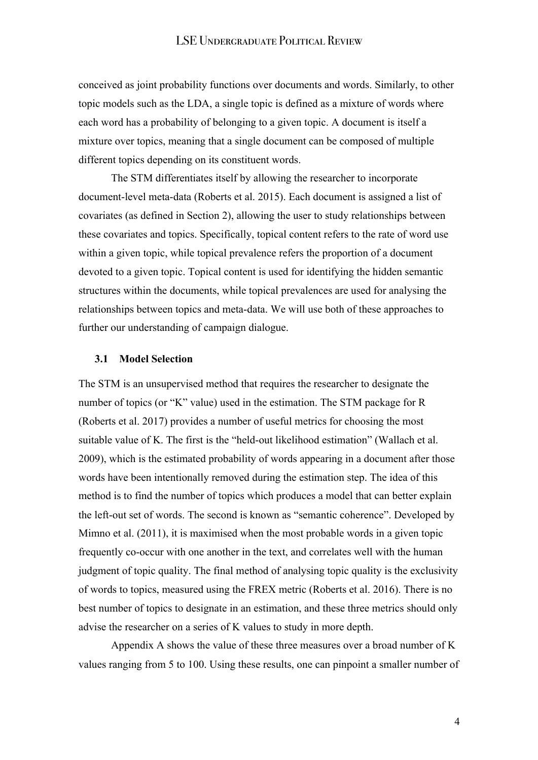conceived as joint probability functions over documents and words. Similarly, to other topic models such as the LDA, a single topic is defined as a mixture of words where each word has a probability of belonging to a given topic. A document is itself a mixture over topics, meaning that a single document can be composed of multiple different topics depending on its constituent words.

The STM differentiates itself by allowing the researcher to incorporate document-level meta-data (Roberts et al. 2015). Each document is assigned a list of covariates (as defined in Section 2), allowing the user to study relationships between these covariates and topics. Specifically, topical content refers to the rate of word use within a given topic, while topical prevalence refers the proportion of a document devoted to a given topic. Topical content is used for identifying the hidden semantic structures within the documents, while topical prevalences are used for analysing the relationships between topics and meta-data. We will use both of these approaches to further our understanding of campaign dialogue.

#### **3.1 Model Selection**

The STM is an unsupervised method that requires the researcher to designate the number of topics (or "K" value) used in the estimation. The STM package for R (Roberts et al. 2017) provides a number of useful metrics for choosing the most suitable value of K. The first is the "held-out likelihood estimation" (Wallach et al. 2009), which is the estimated probability of words appearing in a document after those words have been intentionally removed during the estimation step. The idea of this method is to find the number of topics which produces a model that can better explain the left-out set of words. The second is known as "semantic coherence". Developed by Mimno et al. (2011), it is maximised when the most probable words in a given topic frequently co-occur with one another in the text, and correlates well with the human judgment of topic quality. The final method of analysing topic quality is the exclusivity of words to topics, measured using the FREX metric (Roberts et al. 2016). There is no best number of topics to designate in an estimation, and these three metrics should only advise the researcher on a series of K values to study in more depth.

Appendix A shows the value of these three measures over a broad number of K values ranging from 5 to 100. Using these results, one can pinpoint a smaller number of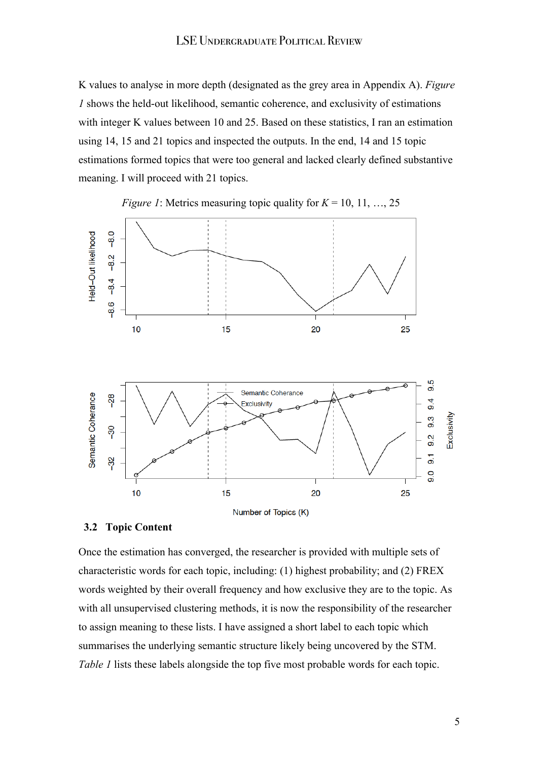K values to analyse in more depth (designated as the grey area in Appendix A). *Figure 1* shows the held-out likelihood, semantic coherence, and exclusivity of estimations with integer K values between 10 and 25. Based on these statistics, I ran an estimation using 14, 15 and 21 topics and inspected the outputs. In the end, 14 and 15 topic estimations formed topics that were too general and lacked clearly defined substantive meaning. I will proceed with 21 topics.



*Figure 1*: Metrics measuring topic quality for  $K = 10, 11, \ldots, 25$ 

#### **3.2 Topic Content**

Once the estimation has converged, the researcher is provided with multiple sets of characteristic words for each topic, including: (1) highest probability; and (2) FREX words weighted by their overall frequency and how exclusive they are to the topic. As with all unsupervised clustering methods, it is now the responsibility of the researcher to assign meaning to these lists. I have assigned a short label to each topic which summarises the underlying semantic structure likely being uncovered by the STM. *Table 1* lists these labels alongside the top five most probable words for each topic.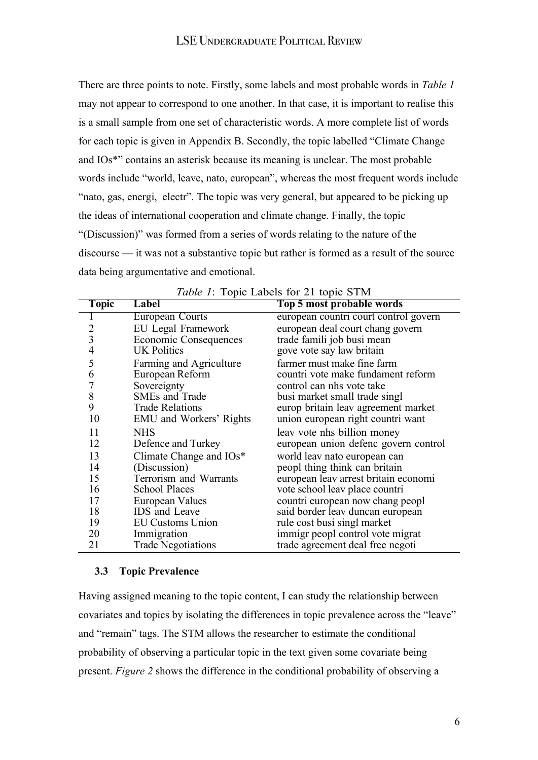There are three points to note. Firstly, some labels and most probable words in *Table 1* may not appear to correspond to one another. In that case, it is important to realise this is a small sample from one set of characteristic words. A more complete list of words for each topic is given in Appendix B. Secondly, the topic labelled "Climate Change and IOs\*" contains an asterisk because its meaning is unclear. The most probable words include "world, leave, nato, european", whereas the most frequent words include "nato, gas, energi, electr". The topic was very general, but appeared to be picking up the ideas of international cooperation and climate change. Finally, the topic "(Discussion)" was formed from a series of words relating to the nature of the discourse — it was not a substantive topic but rather is formed as a result of the source data being argumentative and emotional.

| <b>Topic</b>   | Label                          | Top 5 most probable words             |
|----------------|--------------------------------|---------------------------------------|
|                | European Courts                | european countri court control govern |
| 2              | <b>EU</b> Legal Framework      | european deal court chang govern      |
| $\overline{3}$ | Economic Consequences          | trade famili job busi mean            |
| 4              | <b>UK Politics</b>             | gove vote say law britain             |
| 5              | Farming and Agriculture        | farmer must make fine farm            |
| 6              | European Reform                | countri vote make fundament reform    |
| 7              | Sovereignty                    | control can nhs vote take             |
| 8              | <b>SMEs and Trade</b>          | busi market small trade singl         |
| 9              | <b>Trade Relations</b>         | europ britain leav agreement market   |
| 10             | <b>EMU</b> and Workers' Rights | union european right countri want     |
| 11             | <b>NHS</b>                     | leav vote nhs billion money           |
| 12             | Defence and Turkey             | european union defenc govern control  |
| 13             | Climate Change and IOs*        | world leav nato european can          |
| 14             | (Discussion)                   | peopl thing think can britain         |
| 15             | Terrorism and Warrants         | european leav arrest britain economi  |
| 16             | <b>School Places</b>           | vote school leav place countri        |
| 17             | European Values                | countri european now chang peopl      |
| 18             | IDS and Leave                  | said border leav duncan european      |
| 19             | <b>EU Customs Union</b>        | rule cost busi singl market           |
| 20             | Immigration                    | immigr peopl control vote migrat      |
| 21             | <b>Trade Negotiations</b>      | trade agreement deal free negoti      |

## **3.3 Topic Prevalence**

Having assigned meaning to the topic content, I can study the relationship between covariates and topics by isolating the differences in topic prevalence across the "leave" and "remain" tags. The STM allows the researcher to estimate the conditional probability of observing a particular topic in the text given some covariate being present. *Figure 2* shows the difference in the conditional probability of observing a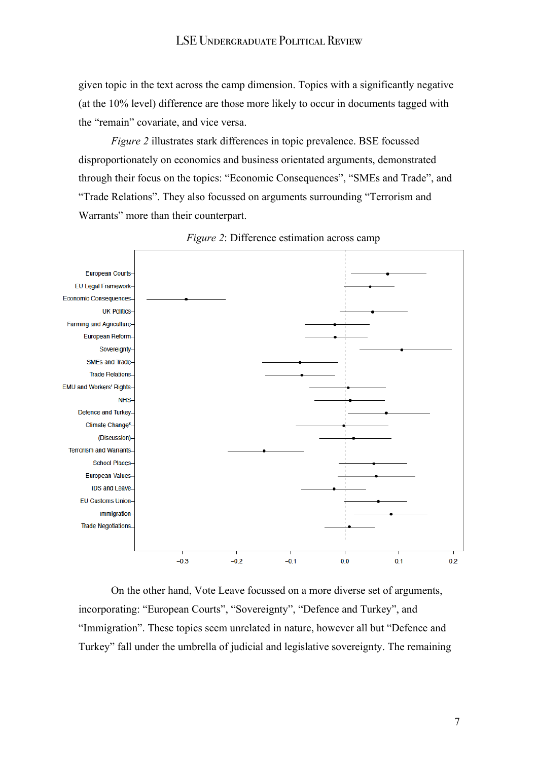given topic in the text across the camp dimension. Topics with a significantly negative (at the 10% level) difference are those more likely to occur in documents tagged with the "remain" covariate, and vice versa.

*Figure 2* illustrates stark differences in topic prevalence. BSE focussed disproportionately on economics and business orientated arguments, demonstrated through their focus on the topics: "Economic Consequences", "SMEs and Trade", and "Trade Relations". They also focussed on arguments surrounding "Terrorism and Warrants" more than their counterpart.





On the other hand, Vote Leave focussed on a more diverse set of arguments, incorporating: "European Courts", "Sovereignty", "Defence and Turkey", and "Immigration". These topics seem unrelated in nature, however all but "Defence and Turkey" fall under the umbrella of judicial and legislative sovereignty. The remaining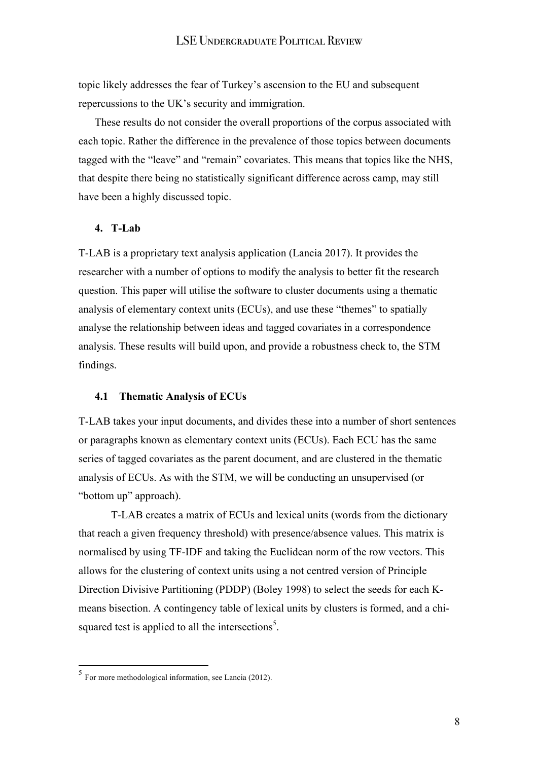topic likely addresses the fear of Turkey's ascension to the EU and subsequent repercussions to the UK's security and immigration.

These results do not consider the overall proportions of the corpus associated with each topic. Rather the difference in the prevalence of those topics between documents tagged with the "leave" and "remain" covariates. This means that topics like the NHS, that despite there being no statistically significant difference across camp, may still have been a highly discussed topic.

## **4. T-Lab**

T-LAB is a proprietary text analysis application (Lancia 2017). It provides the researcher with a number of options to modify the analysis to better fit the research question. This paper will utilise the software to cluster documents using a thematic analysis of elementary context units (ECUs), and use these "themes" to spatially analyse the relationship between ideas and tagged covariates in a correspondence analysis. These results will build upon, and provide a robustness check to, the STM findings.

## **4.1 Thematic Analysis of ECUs**

T-LAB takes your input documents, and divides these into a number of short sentences or paragraphs known as elementary context units (ECUs). Each ECU has the same series of tagged covariates as the parent document, and are clustered in the thematic analysis of ECUs. As with the STM, we will be conducting an unsupervised (or "bottom up" approach).

T-LAB creates a matrix of ECUs and lexical units (words from the dictionary that reach a given frequency threshold) with presence/absence values. This matrix is normalised by using TF-IDF and taking the Euclidean norm of the row vectors. This allows for the clustering of context units using a not centred version of Principle Direction Divisive Partitioning (PDDP) (Boley 1998) to select the seeds for each Kmeans bisection. A contingency table of lexical units by clusters is formed, and a chisquared test is applied to all the intersections<sup>5</sup>.

 $\overline{a}$ 

<sup>5</sup> For more methodological information, see Lancia (2012).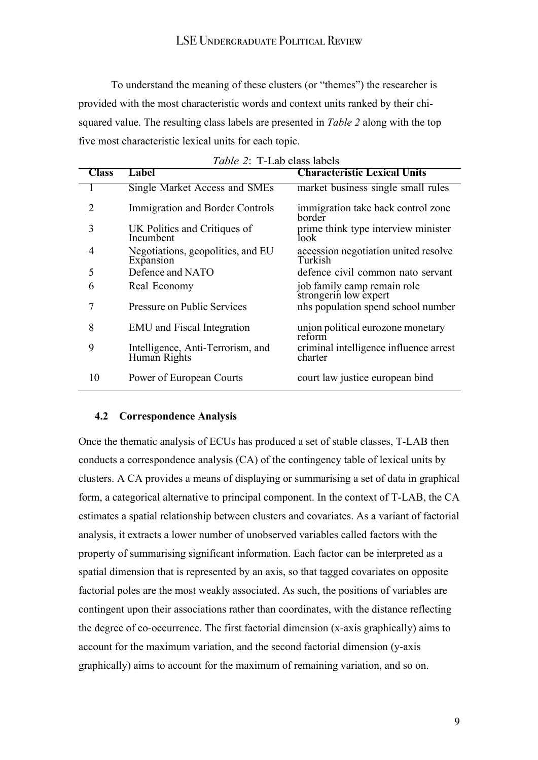To understand the meaning of these clusters (or "themes") the researcher is provided with the most characteristic words and context units ranked by their chisquared value. The resulting class labels are presented in *Table 2* along with the top five most characteristic lexical units for each topic.

| <i>Table 2</i> . 1-LaD class fabels |                                                   |                                                      |
|-------------------------------------|---------------------------------------------------|------------------------------------------------------|
| <b>Class</b>                        | Label                                             | <b>Characteristic Lexical Units</b>                  |
|                                     | Single Market Access and SMEs                     | market business single small rules                   |
| $\mathcal{D}_{\mathcal{L}}$         | Immigration and Border Controls                   | immigration take back control zone<br>border         |
| 3                                   | UK Politics and Critiques of<br>Incumbent         | prime think type interview minister<br>look          |
| 4                                   | Negotiations, geopolitics, and EU<br>Expansion    | accession negotiation united resolve<br>Turkish      |
| 5                                   | Defence and NATO                                  | defence civil common nato servant                    |
| 6                                   | Real Economy                                      | job family camp remain role<br>strongerin low expert |
|                                     | Pressure on Public Services                       | nhs population spend school number                   |
| 8                                   | EMU and Fiscal Integration                        | union political eurozone monetary<br>reform          |
| 9                                   | Intelligence, Anti-Terrorism, and<br>Human Rights | criminal intelligence influence arrest<br>charter    |
| 10                                  | Power of European Courts                          | court law justice european bind                      |

## **4.2 Correspondence Analysis**

Once the thematic analysis of ECUs has produced a set of stable classes, T-LAB then conducts a correspondence analysis (CA) of the contingency table of lexical units by clusters. A CA provides a means of displaying or summarising a set of data in graphical form, a categorical alternative to principal component. In the context of T-LAB, the CA estimates a spatial relationship between clusters and covariates. As a variant of factorial analysis, it extracts a lower number of unobserved variables called factors with the property of summarising significant information. Each factor can be interpreted as a spatial dimension that is represented by an axis, so that tagged covariates on opposite factorial poles are the most weakly associated. As such, the positions of variables are contingent upon their associations rather than coordinates, with the distance reflecting the degree of co-occurrence. The first factorial dimension (x-axis graphically) aims to account for the maximum variation, and the second factorial dimension (y-axis graphically) aims to account for the maximum of remaining variation, and so on.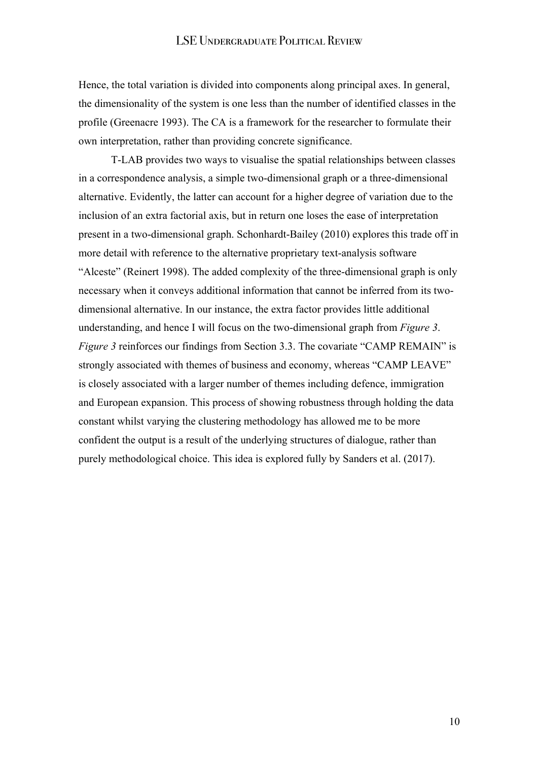Hence, the total variation is divided into components along principal axes. In general, the dimensionality of the system is one less than the number of identified classes in the profile (Greenacre 1993). The CA is a framework for the researcher to formulate their own interpretation, rather than providing concrete significance.

T-LAB provides two ways to visualise the spatial relationships between classes in a correspondence analysis, a simple two-dimensional graph or a three-dimensional alternative. Evidently, the latter can account for a higher degree of variation due to the inclusion of an extra factorial axis, but in return one loses the ease of interpretation present in a two-dimensional graph. Schonhardt-Bailey (2010) explores this trade off in more detail with reference to the alternative proprietary text-analysis software "Alceste" (Reinert 1998). The added complexity of the three-dimensional graph is only necessary when it conveys additional information that cannot be inferred from its twodimensional alternative. In our instance, the extra factor provides little additional understanding, and hence I will focus on the two-dimensional graph from *Figure 3*. *Figure 3* reinforces our findings from Section 3.3. The covariate "CAMP REMAIN" is strongly associated with themes of business and economy, whereas "CAMP LEAVE" is closely associated with a larger number of themes including defence, immigration and European expansion. This process of showing robustness through holding the data constant whilst varying the clustering methodology has allowed me to be more confident the output is a result of the underlying structures of dialogue, rather than purely methodological choice. This idea is explored fully by Sanders et al. (2017).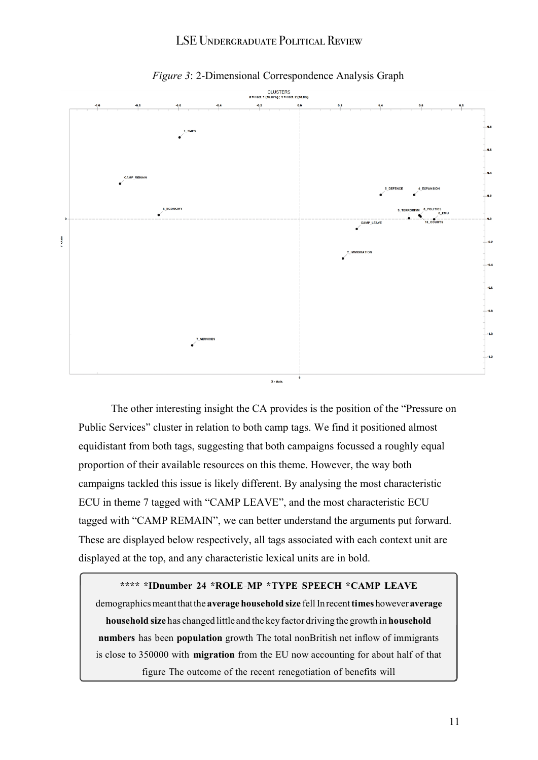

*Figure 3*: 2-Dimensional Correspondence Analysis Graph

The other interesting insight the CA provides is the position of the "Pressure on Public Services" cluster in relation to both camp tags. We find it positioned almost equidistant from both tags, suggesting that both campaigns focussed a roughly equal proportion of their available resources on this theme. However, the way both campaigns tackled this issue is likely different. By analysing the most characteristic ECU in theme 7 tagged with "CAMP LEAVE", and the most characteristic ECU tagged with "CAMP REMAIN", we can better understand the arguments put forward. These are displayed below respectively, all tags associated with each context unit are displayed at the top, and any characteristic lexical units are in bold.

#### **\*\*\*\* \*IDnumber 24 \*ROLE MP \*TYPE SPEECH \*CAMP LEAVE**

demographicsmeantthatthe **average household size** fellInrecent**times** however**average household size** has changed little and the key factor driving the growth in **household numbers** has been **population** growth The total nonBritish net inflow of immigrants is close to 350000 with **migration** from the EU now accounting for about half of that figure The outcome of the recent renegotiation of benefits will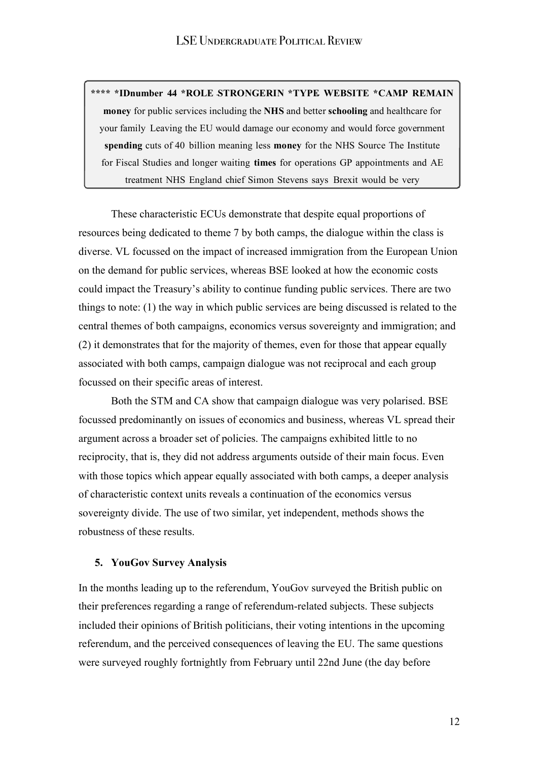**\*\*\*\* \*IDnumber 44 \*ROLE STRONGERIN \*TYPE WEBSITE \*CAMP REMAIN money** for public services including the **NHS** and better **schooling** and healthcare for your family Leaving the EU would damage our economy and would force government **spending** cuts of 40 billion meaning less **money** for the NHS Source The Institute for Fiscal Studies and longer waiting **times** for operations GP appointments and AE treatment NHS England chief Simon Stevens says Brexit would be very

These characteristic ECUs demonstrate that despite equal proportions of resources being dedicated to theme 7 by both camps, the dialogue within the class is diverse. VL focussed on the impact of increased immigration from the European Union on the demand for public services, whereas BSE looked at how the economic costs could impact the Treasury's ability to continue funding public services. There are two things to note: (1) the way in which public services are being discussed is related to the central themes of both campaigns, economics versus sovereignty and immigration; and (2) it demonstrates that for the majority of themes, even for those that appear equally associated with both camps, campaign dialogue was not reciprocal and each group focussed on their specific areas of interest.

Both the STM and CA show that campaign dialogue was very polarised. BSE focussed predominantly on issues of economics and business, whereas VL spread their argument across a broader set of policies. The campaigns exhibited little to no reciprocity, that is, they did not address arguments outside of their main focus. Even with those topics which appear equally associated with both camps, a deeper analysis of characteristic context units reveals a continuation of the economics versus sovereignty divide. The use of two similar, yet independent, methods shows the robustness of these results.

## **5. YouGov Survey Analysis**

In the months leading up to the referendum, YouGov surveyed the British public on their preferences regarding a range of referendum-related subjects. These subjects included their opinions of British politicians, their voting intentions in the upcoming referendum, and the perceived consequences of leaving the EU. The same questions were surveyed roughly fortnightly from February until 22nd June (the day before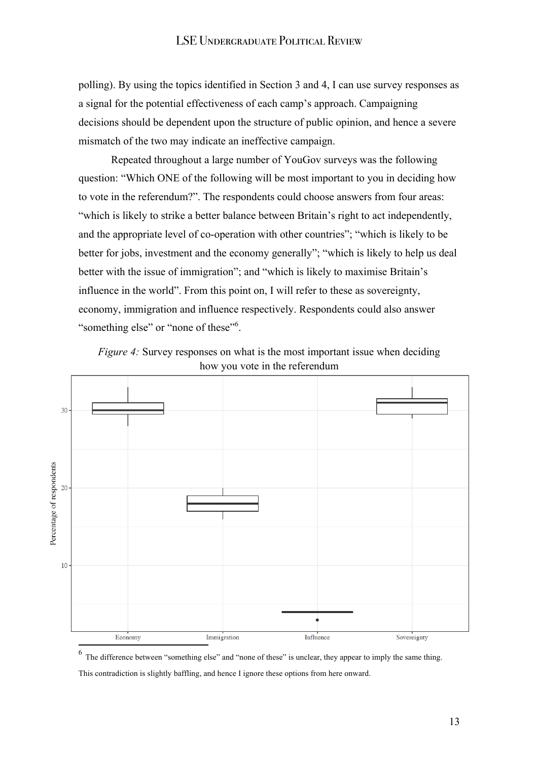polling). By using the topics identified in Section 3 and 4, I can use survey responses as a signal for the potential effectiveness of each camp's approach. Campaigning decisions should be dependent upon the structure of public opinion, and hence a severe mismatch of the two may indicate an ineffective campaign.

Repeated throughout a large number of YouGov surveys was the following question: "Which ONE of the following will be most important to you in deciding how to vote in the referendum?". The respondents could choose answers from four areas: "which is likely to strike a better balance between Britain's right to act independently, and the appropriate level of co-operation with other countries"; "which is likely to be better for jobs, investment and the economy generally"; "which is likely to help us deal better with the issue of immigration"; and "which is likely to maximise Britain's influence in the world". From this point on, I will refer to these as sovereignty, economy, immigration and influence respectively. Respondents could also answer "something else" or "none of these"<sup>6</sup>.





 $<sup>6</sup>$  The difference between "something else" and "none of these" is unclear, they appear to imply the same thing.</sup>

This contradiction is slightly baffling, and hence I ignore these options from here onward.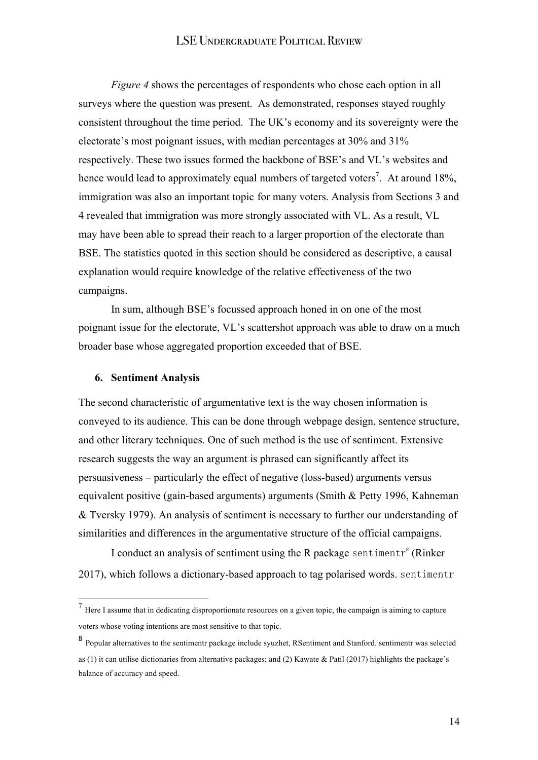*Figure 4* shows the percentages of respondents who chose each option in all surveys where the question was present. As demonstrated, responses stayed roughly consistent throughout the time period. The UK's economy and its sovereignty were the electorate's most poignant issues, with median percentages at 30% and 31% respectively. These two issues formed the backbone of BSE's and VL's websites and hence would lead to approximately equal numbers of targeted voters<sup>7</sup>. At around 18%, immigration was also an important topic for many voters. Analysis from Sections 3 and 4 revealed that immigration was more strongly associated with VL. As a result, VL may have been able to spread their reach to a larger proportion of the electorate than BSE. The statistics quoted in this section should be considered as descriptive, a causal explanation would require knowledge of the relative effectiveness of the two campaigns.

In sum, although BSE's focussed approach honed in on one of the most poignant issue for the electorate, VL's scattershot approach was able to draw on a much broader base whose aggregated proportion exceeded that of BSE.

## **6. Sentiment Analysis**

 $\overline{a}$ 

The second characteristic of argumentative text is the way chosen information is conveyed to its audience. This can be done through webpage design, sentence structure, and other literary techniques. One of such method is the use of sentiment. Extensive research suggests the way an argument is phrased can significantly affect its persuasiveness – particularly the effect of negative (loss-based) arguments versus equivalent positive (gain-based arguments) arguments (Smith & Petty 1996, Kahneman & Tversky 1979). An analysis of sentiment is necessary to further our understanding of similarities and differences in the argumentative structure of the official campaigns.

I conduct an analysis of sentiment using the R package sentimentr<sup>8</sup> (Rinker 2017), which follows a dictionary-based approach to tag polarised words. sentimentr

 $<sup>7</sup>$  Here I assume that in dedicating disproportionate resources on a given topic, the campaign is aiming to capture</sup> voters whose voting intentions are most sensitive to that topic.

<sup>8</sup> Popular alternatives to the sentimentr package include syuzhet, RSentiment and Stanford. sentimentr was selected as (1) it can utilise dictionaries from alternative packages; and (2) Kawate & Patil (2017) highlights the package's balance of accuracy and speed.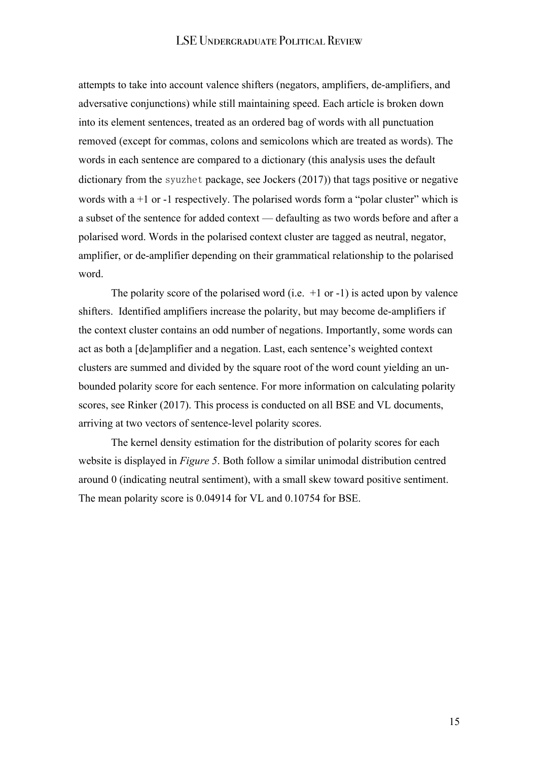attempts to take into account valence shifters (negators, amplifiers, de-amplifiers, and adversative conjunctions) while still maintaining speed. Each article is broken down into its element sentences, treated as an ordered bag of words with all punctuation removed (except for commas, colons and semicolons which are treated as words). The words in each sentence are compared to a dictionary (this analysis uses the default dictionary from the syuzhet package, see Jockers (2017)) that tags positive or negative words with  $a + 1$  or  $-1$  respectively. The polarised words form a "polar cluster" which is a subset of the sentence for added context — defaulting as two words before and after a polarised word. Words in the polarised context cluster are tagged as neutral, negator, amplifier, or de-amplifier depending on their grammatical relationship to the polarised word.

The polarity score of the polarised word (i.e.  $+1$  or  $-1$ ) is acted upon by valence shifters. Identified amplifiers increase the polarity, but may become de-amplifiers if the context cluster contains an odd number of negations. Importantly, some words can act as both a [de]amplifier and a negation. Last, each sentence's weighted context clusters are summed and divided by the square root of the word count yielding an unbounded polarity score for each sentence. For more information on calculating polarity scores, see Rinker (2017). This process is conducted on all BSE and VL documents, arriving at two vectors of sentence-level polarity scores.

The kernel density estimation for the distribution of polarity scores for each website is displayed in *Figure 5*. Both follow a similar unimodal distribution centred around 0 (indicating neutral sentiment), with a small skew toward positive sentiment. The mean polarity score is 0.04914 for VL and 0.10754 for BSE.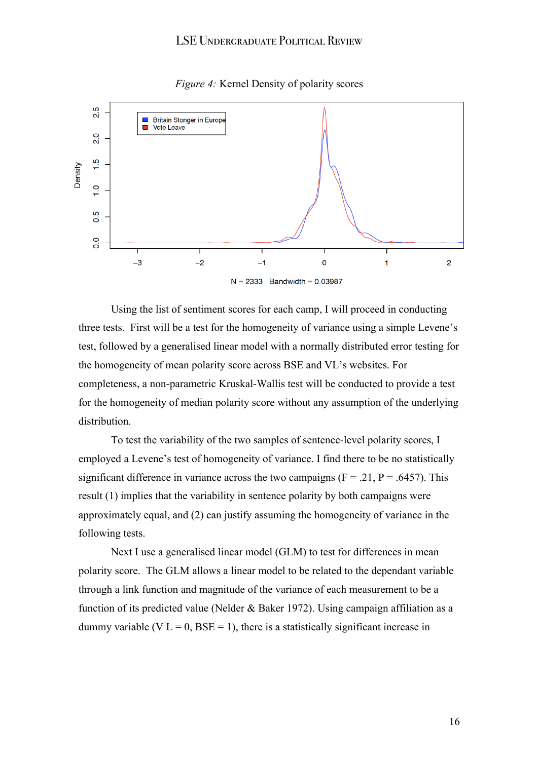

#### *Figure 4:* Kernel Density of polarity scores

Using the list of sentiment scores for each camp, I will proceed in conducting three tests. First will be a test for the homogeneity of variance using a simple Levene's test, followed by a generalised linear model with a normally distributed error testing for the homogeneity of mean polarity score across BSE and VL's websites. For completeness, a non-parametric Kruskal-Wallis test will be conducted to provide a test for the homogeneity of median polarity score without any assumption of the underlying distribution.

To test the variability of the two samples of sentence-level polarity scores, I employed a Levene's test of homogeneity of variance. I find there to be no statistically significant difference in variance across the two campaigns  $(F = .21, P = .6457)$ . This result (1) implies that the variability in sentence polarity by both campaigns were approximately equal, and (2) can justify assuming the homogeneity of variance in the following tests.

Next I use a generalised linear model (GLM) to test for differences in mean polarity score. The GLM allows a linear model to be related to the dependant variable through a link function and magnitude of the variance of each measurement to be a function of its predicted value (Nelder & Baker 1972). Using campaign affiliation as a dummy variable (V  $L = 0$ , BSE = 1), there is a statistically significant increase in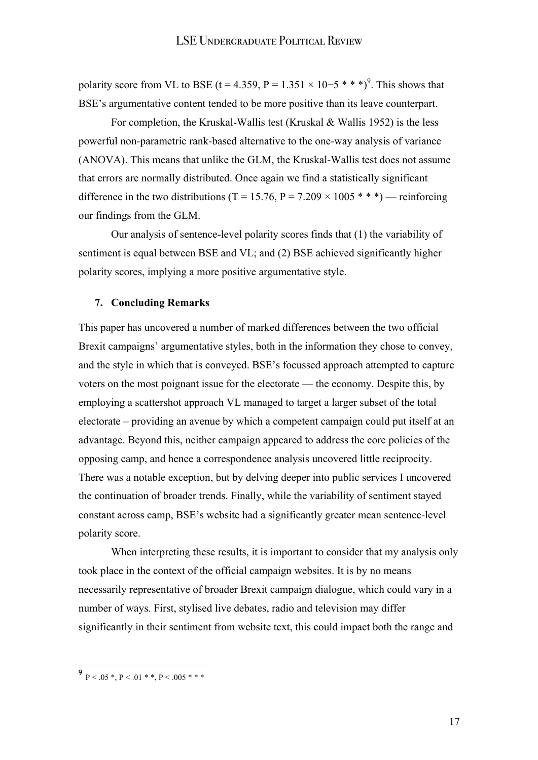polarity score from VL to BSE (t = 4.359, P = 1.351  $\times$  10–5 \* \* \*)<sup>9</sup>. This shows that BSE's argumentative content tended to be more positive than its leave counterpart.

For completion, the Kruskal-Wallis test (Kruskal & Wallis 1952) is the less powerful non-parametric rank-based alternative to the one-way analysis of variance (ANOVA). This means that unlike the GLM, the Kruskal-Wallis test does not assume that errors are normally distributed. Once again we find a statistically significant difference in the two distributions (T = 15.76, P = 7.209  $\times$  1005 \* \* \*) — reinforcing our findings from the GLM.

Our analysis of sentence-level polarity scores finds that (1) the variability of sentiment is equal between BSE and VL; and (2) BSE achieved significantly higher polarity scores, implying a more positive argumentative style.

## **7. Concluding Remarks**

This paper has uncovered a number of marked differences between the two official Brexit campaigns' argumentative styles, both in the information they chose to convey, and the style in which that is conveyed. BSE's focussed approach attempted to capture voters on the most poignant issue for the electorate — the economy. Despite this, by employing a scattershot approach VL managed to target a larger subset of the total electorate – providing an avenue by which a competent campaign could put itself at an advantage. Beyond this, neither campaign appeared to address the core policies of the opposing camp, and hence a correspondence analysis uncovered little reciprocity. There was a notable exception, but by delving deeper into public services I uncovered the continuation of broader trends. Finally, while the variability of sentiment stayed constant across camp, BSE's website had a significantly greater mean sentence-level polarity score.

When interpreting these results, it is important to consider that my analysis only took place in the context of the official campaign websites. It is by no means necessarily representative of broader Brexit campaign dialogue, which could vary in a number of ways. First, stylised live debates, radio and television may differ significantly in their sentiment from website text, this could impact both the range and

 $\overline{a}$ 

 $9 P < 0.05 *, P < 0.01 **$ ,  $P < 0.005 **$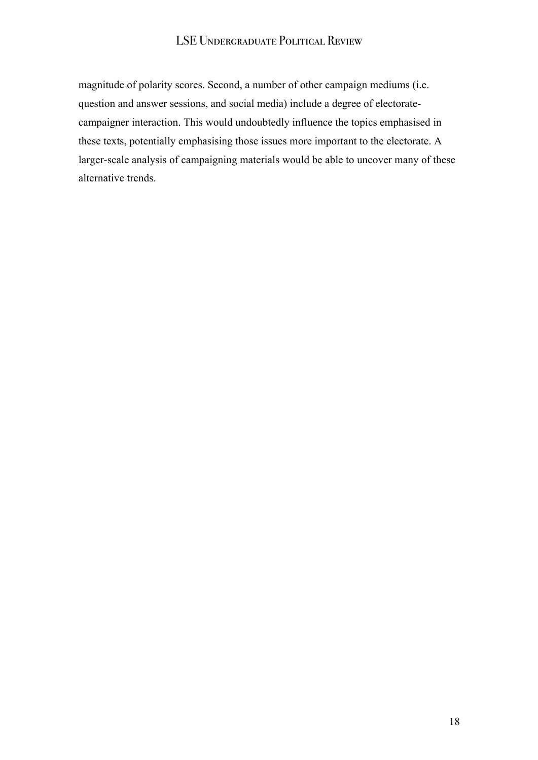magnitude of polarity scores. Second, a number of other campaign mediums (i.e. question and answer sessions, and social media) include a degree of electoratecampaigner interaction. This would undoubtedly influence the topics emphasised in these texts, potentially emphasising those issues more important to the electorate. A larger-scale analysis of campaigning materials would be able to uncover many of these alternative trends.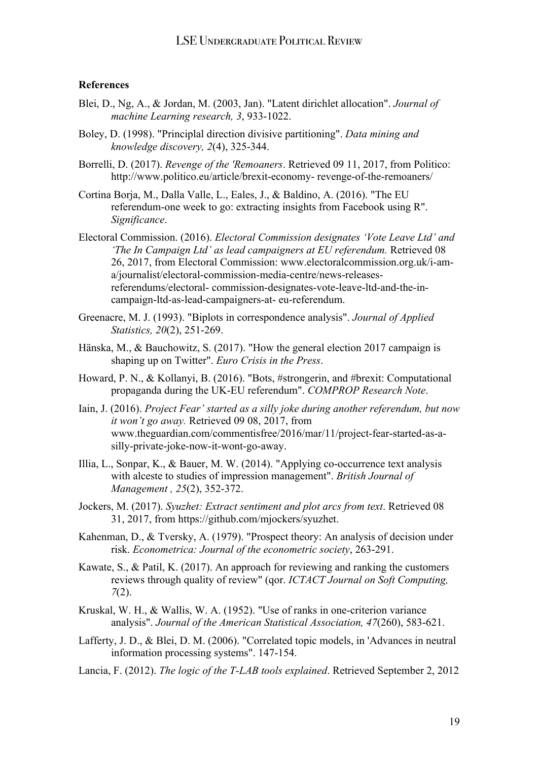## **References**

- Blei, D., Ng, A., & Jordan, M. (2003, Jan). "Latent dirichlet allocation". *Journal of machine Learning research, 3*, 933-1022.
- Boley, D. (1998). "Principlal direction divisive partitioning". *Data mining and knowledge discovery, 2*(4), 325-344.
- Borrelli, D. (2017). *Revenge of the 'Remoaners*. Retrieved 09 11, 2017, from Politico: http://www.politico.eu/article/brexit-economy- revenge-of-the-remoaners/
- Cortina Borja, M., Dalla Valle, L., Eales, J., & Baldino, A. (2016). "The EU referendum-one week to go: extracting insights from Facebook using R". *Significance*.
- Electoral Commission. (2016). *Electoral Commission designates 'Vote Leave Ltd' and 'The In Campaign Ltd' as lead campaigners at EU referendum.* Retrieved 08 26, 2017, from Electoral Commission: www.electoralcommission.org.uk/i-ama/journalist/electoral-commission-media-centre/news-releasesreferendums/electoral- commission-designates-vote-leave-ltd-and-the-incampaign-ltd-as-lead-campaigners-at- eu-referendum.
- Greenacre, M. J. (1993). "Biplots in correspondence analysis". *Journal of Applied Statistics, 20*(2), 251-269.
- Hänska, M., & Bauchowitz, S. (2017). "How the general election 2017 campaign is shaping up on Twitter". *Euro Crisis in the Press*.
- Howard, P. N., & Kollanyi, B. (2016). "Bots, #strongerin, and #brexit: Computational propaganda during the UK-EU referendum". *COMPROP Research Note*.
- Iain, J. (2016). *Project Fear' started as a silly joke during another referendum, but now it won't go away.* Retrieved 09 08, 2017, from www.theguardian.com/commentisfree/2016/mar/11/project-fear-started-as-asilly-private-joke-now-it-wont-go-away.
- Illia, L., Sonpar, K., & Bauer, M. W. (2014). "Applying co-occurrence text analysis with alceste to studies of impression management". *British Journal of Management , 25*(2), 352-372.
- Jockers, M. (2017). *Syuzhet: Extract sentiment and plot arcs from text*. Retrieved 08 31, 2017, from https://github.com/mjockers/syuzhet.
- Kahenman, D., & Tversky, A. (1979). "Prospect theory: An analysis of decision under risk. *Econometrica: Journal of the econometric society*, 263-291.
- Kawate, S., & Patil, K. (2017). An approach for reviewing and ranking the customers reviews through quality of review" (qor. *ICTACT Journal on Soft Computing, 7*(2).
- Kruskal, W. H., & Wallis, W. A. (1952). "Use of ranks in one-criterion variance analysis". *Journal of the American Statistical Association, 47*(260), 583-621.
- Lafferty, J. D., & Blei, D. M. (2006). "Correlated topic models, in 'Advances in neutral information processing systems". 147-154.
- Lancia, F. (2012). *The logic of the T-LAB tools explained*. Retrieved September 2, 2012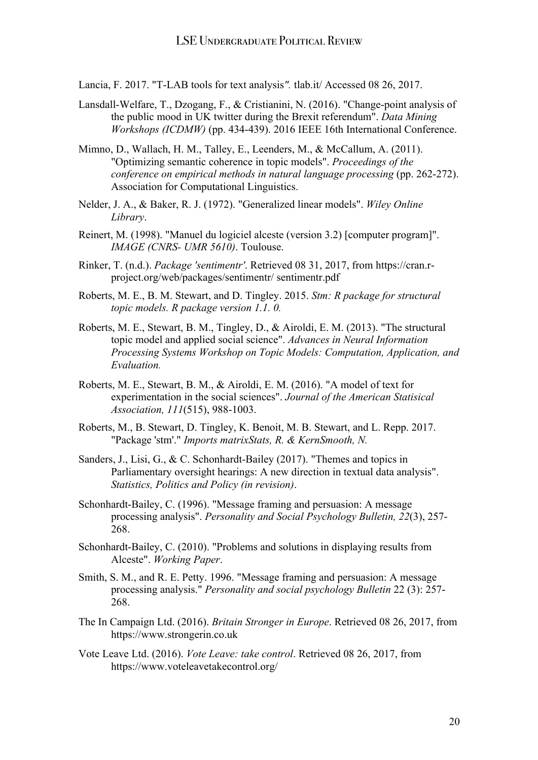Lancia, F. 2017. "T-LAB tools for text analysis*".* tlab.it/ Accessed 08 26, 2017.

- Lansdall-Welfare, T., Dzogang, F., & Cristianini, N. (2016). "Change-point analysis of the public mood in UK twitter during the Brexit referendum". *Data Mining Workshops (ICDMW)* (pp. 434-439). 2016 IEEE 16th International Conference.
- Mimno, D., Wallach, H. M., Talley, E., Leenders, M., & McCallum, A. (2011). "Optimizing semantic coherence in topic models". *Proceedings of the conference on empirical methods in natural language processing* (pp. 262-272). Association for Computational Linguistics.
- Nelder, J. A., & Baker, R. J. (1972). "Generalized linear models". *Wiley Online Library*.
- Reinert, M. (1998). "Manuel du logiciel alceste (version 3.2) [computer program]". *IMAGE (CNRS- UMR 5610)*. Toulouse.
- Rinker, T. (n.d.). *Package 'sentimentr'*. Retrieved 08 31, 2017, from https://cran.rproject.org/web/packages/sentimentr/ sentimentr.pdf
- Roberts, M. E., B. M. Stewart, and D. Tingley. 2015. *Stm: R package for structural topic models. R package version 1.1. 0.*
- Roberts, M. E., Stewart, B. M., Tingley, D., & Airoldi, E. M. (2013). "The structural topic model and applied social science". *Advances in Neural Information Processing Systems Workshop on Topic Models: Computation, Application, and Evaluation.*
- Roberts, M. E., Stewart, B. M., & Airoldi, E. M. (2016). "A model of text for experimentation in the social sciences". *Journal of the American Statisical Association, 111*(515), 988-1003.
- Roberts, M., B. Stewart, D. Tingley, K. Benoit, M. B. Stewart, and L. Repp. 2017. "Package 'stm'." *Imports matrixStats, R. & KernSmooth, N.*
- Sanders, J., Lisi, G., & C. Schonhardt-Bailey (2017). "Themes and topics in Parliamentary oversight hearings: A new direction in textual data analysis". *Statistics, Politics and Policy (in revision)*.
- Schonhardt-Bailey, C. (1996). "Message framing and persuasion: A message processing analysis". *Personality and Social Psychology Bulletin, 22*(3), 257- 268.
- Schonhardt-Bailey, C. (2010). "Problems and solutions in displaying results from Alceste". *Working Paper*.
- Smith, S. M., and R. E. Petty. 1996. "Message framing and persuasion: A message processing analysis." *Personality and social psychology Bulletin* 22 (3): 257- 268.
- The In Campaign Ltd. (2016). *Britain Stronger in Europe*. Retrieved 08 26, 2017, from https://www.strongerin.co.uk
- Vote Leave Ltd. (2016). *Vote Leave: take control*. Retrieved 08 26, 2017, from https://www.voteleavetakecontrol.org/